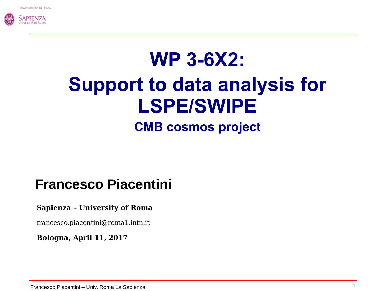

# **WP 3-6X2: Support to data analysis for LSPE/SWIPE CMB cosmos project**

### **Francesco Piacentini**

#### **Sapienza – University of Roma**

francesco.piacentini@roma1.infn.it

**Bologna, April 11, 2017**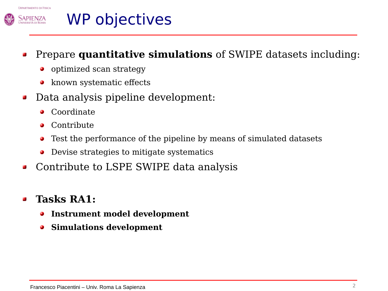



# WP objectives

#### Prepare **quantitative simulations** of SWIPE datasets including: 部

- optimized scan strategy ۰
- known systematic effects
- Data analysis pipeline development:  $\Delta t$ 
	- Coordinate Ø
	- **Contribute**
	- Test the performance of the pipeline by means of simulated datasets
	- Devise strategies to mitigate systematics
- Contribute to LSPE SWIPE data analysis  $\Delta$

#### **Tasks RA1:**

- **Instrument model development** ۰
- **Simulations development**۰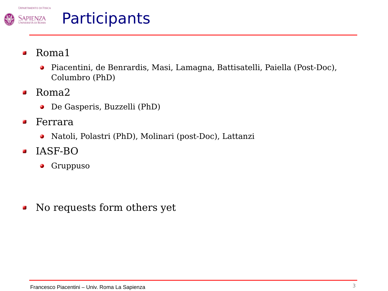

# Participants

- Roma1  $\overline{\mathbf{a}}$ 
	- Piacentini, de Benrardis, Masi, Lamagna, Battisatelli, Paiella (Post-Doc), ۰ Columbro (PhD)
- Roma2  $\Delta$ 
	- De Gasperis, Buzzelli (PhD)
- Ferrara  $\mathbf{r}$ 
	- Natoli, Polastri (PhD), Molinari (post-Doc), Lattanzi  $\bullet$
- IASF-BO  $\overline{\mathbf{a}}$ 
	- Gruppuso  $\mathbf{C}$

No requests form others yet $\Delta t$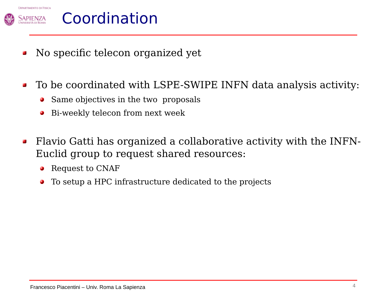

# Coordination

- No specific telecon organized yet  $\Delta t$
- To be coordinated with LSPE-SWIPE INFN data analysis activity:  $\Delta$ 
	- Same objectives in the two proposals  $\bullet$
	- Bi-weekly telecon from next week ۰
- Flavio Gatti has organized a collaborative activity with the INFN- $\mathbf{r}$ Euclid group to request shared resources:
	- Request to CNAF  $\bullet$
	- To setup a HPC infrastructure dedicated to the projects۰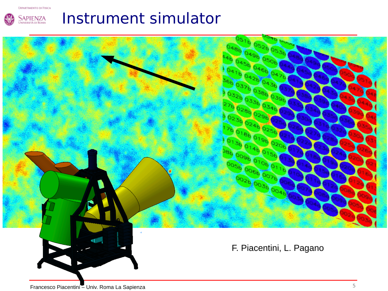**DIPARTIMENTO DI FISICA** 



# Instrument simulator

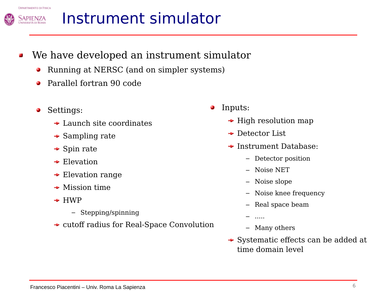

Sapienza



- We have developed an instrument simulator
	- Running at NERSC (and on simpler systems)
	- Parallel fortran 90 code
	- Settings: ۰
		- $\rightarrow$  Launch site coordinates
		- $\rightarrow$  Sampling rate
		- $\rightarrow$  Spin rate
		- $\div$  Elevation
		- $\rightarrow$  Elevation range
		- $\rightarrow$  Mission time
		- $\div$  HWP
			- Stepping/spinning
		- cutoff radius for Real-Space Convolution
- Inputs: Ø
	- $\rightarrow$  High resolution map
	- **→ Detector List**
	- **→ Instrument Database:** 
		- Detector position
		- Noise NET
		- Noise slope
		- Noise knee frequency
		- Real space beam
		- .....
		- Many others
	- Systematic effects can be added at time domain level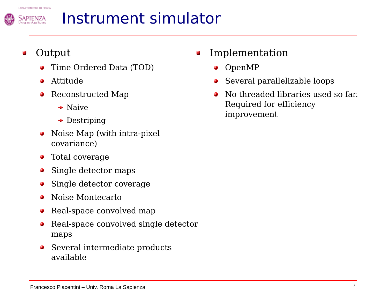

# Instrument simulator

### Output

- Time Ordered Data (TOD)
- Attitude Ø
- Reconstructed Map
	- $\rightarrow$  Naive
	- **→** Destriping
- Noise Map (with intra-pixel ۵ covariance)
- Total coverage S
- Single detector maps
- Single detector coverage
- Noise Montecarlo ۵
- Real-space convolved map ۰
- Real-space convolved single detector ٥ maps
- Several intermediate products  $\bullet$ available
- Implementation
	- OpenMP O
	- Several parallelizable loops Ø
	- No threaded libraries used so far. Required for efficiency improvement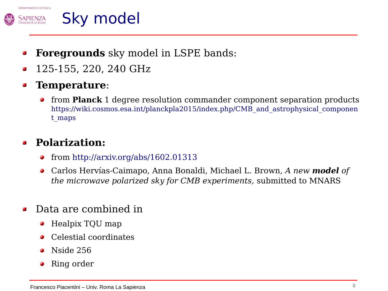

### Sky model

- **Foregrounds** sky model in LSPE bands:  $\overline{\mathbf{r}}$
- 125-155, 220, 240 GHz £.

#### **Temperature**: 督

from **Planck** 1 degree resolution commander component separation products  $\bullet$ [https://wiki.cosmos.esa.int/planckpla2015/index.php/CMB\\_and\\_astrophysical\\_componen](https://wiki.cosmos.esa.int/planckpla2015/index.php/CMB_and_astrophysical_component_maps) [t\\_maps](https://wiki.cosmos.esa.int/planckpla2015/index.php/CMB_and_astrophysical_component_maps)

### **Polarization:**

- from<http://arxiv.org/abs/1602.01313> Ø
- Carlos Hervías-Caimapo, Anna Bonaldi, Michael L. Brown, *A new model of*   $\bullet$ *the microwave polarized sky for CMB experiments,* submitted to MNARS
- Data are combined in
	- Healpix TQU map Ø
	- Celestial coordinates
	- Nside 256
	- Ring order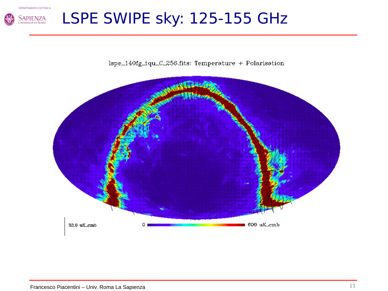

# LSPE SWIPE sky: 125-155 GHz

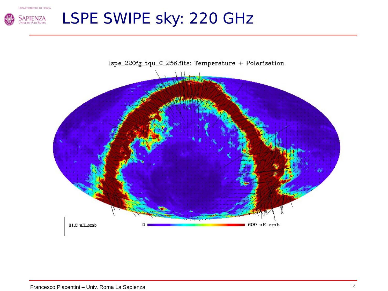

# LSPE SWIPE sky: 220 GHz

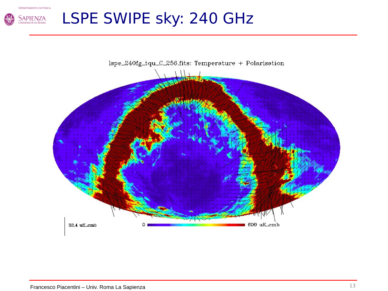

# LSPE SWIPE sky: 240 GHz

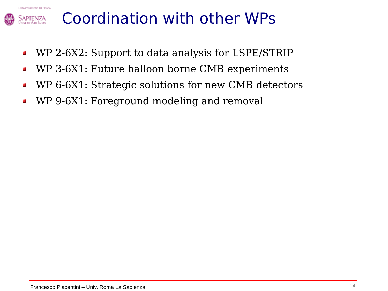

# Coordination with other WPs

- WP 2-6X2: Support to data analysis for LSPE/STRIP  $\Delta$
- WP 3-6X1: Future balloon borne CMB experiments  $\Delta$
- WP 6-6X1: Strategic solutions for new CMB detectors  $\overline{\mathbf{r}}$
- WP 9-6X1: Foreground modeling and removal $\overline{\mathbf{a}}$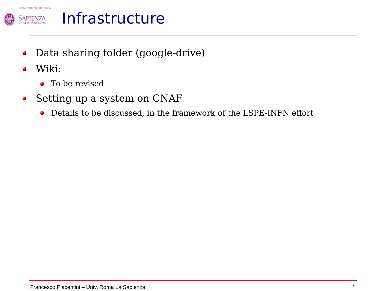



## Infrastructure

- Data sharing folder (google-drive)  $\Delta$
- Wiki:  $\overline{\mathbf{r}}$ 
	- To be revised
- Setting up a system on CNAF  $\mathbf{r}$ 
	- Details to be discussed, in the framework of the LSPE-INFN effort $\bullet$